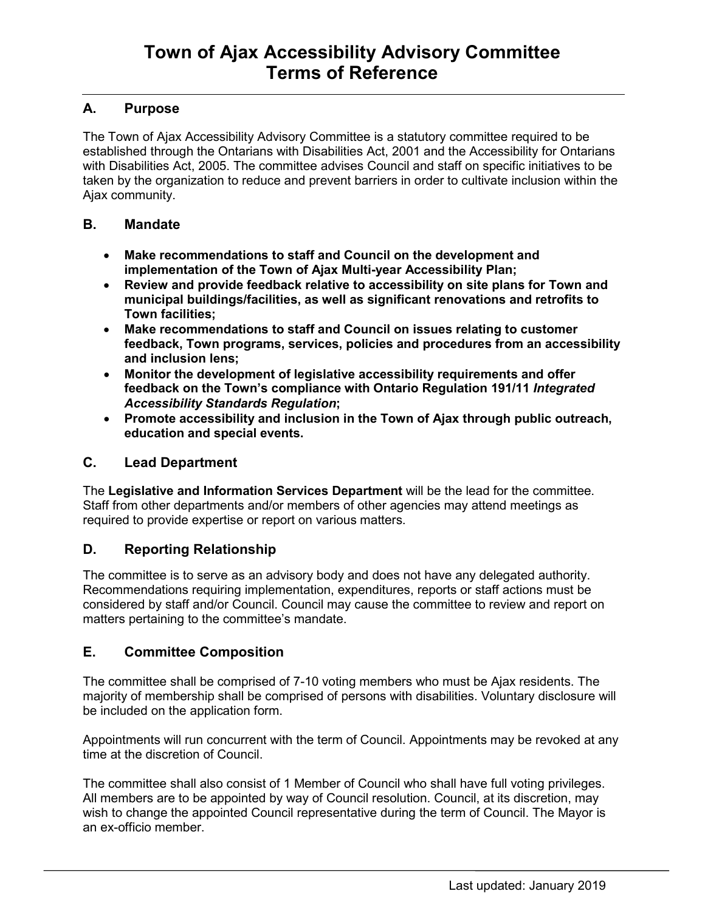# **A. Purpose**

The Town of Ajax Accessibility Advisory Committee is a statutory committee required to be established through the Ontarians with Disabilities Act, 2001 and the Accessibility for Ontarians with Disabilities Act, 2005. The committee advises Council and staff on specific initiatives to be taken by the organization to reduce and prevent barriers in order to cultivate inclusion within the Ajax community.

## **B. Mandate**

- **Make recommendations to staff and Council on the development and implementation of the Town of Ajax Multi-year Accessibility Plan;**
- **Review and provide feedback relative to accessibility on site plans for Town and municipal buildings/facilities, as well as significant renovations and retrofits to Town facilities;**
- **Make recommendations to staff and Council on issues relating to customer feedback, Town programs, services, policies and procedures from an accessibility and inclusion lens;**
- **Monitor the development of legislative accessibility requirements and offer feedback on the Town's compliance with Ontario Regulation 191/11** *Integrated Accessibility Standards Regulation***;**
- **Promote accessibility and inclusion in the Town of Ajax through public outreach, education and special events.**

# **C. Lead Department**

The **Legislative and Information Services Department** will be the lead for the committee. Staff from other departments and/or members of other agencies may attend meetings as required to provide expertise or report on various matters.

# **D. Reporting Relationship**

The committee is to serve as an advisory body and does not have any delegated authority. Recommendations requiring implementation, expenditures, reports or staff actions must be considered by staff and/or Council. Council may cause the committee to review and report on matters pertaining to the committee's mandate.

## **E. Committee Composition**

The committee shall be comprised of 7-10 voting members who must be Ajax residents. The majority of membership shall be comprised of persons with disabilities. Voluntary disclosure will be included on the application form.

Appointments will run concurrent with the term of Council. Appointments may be revoked at any time at the discretion of Council.

The committee shall also consist of 1 Member of Council who shall have full voting privileges. All members are to be appointed by way of Council resolution. Council, at its discretion, may wish to change the appointed Council representative during the term of Council. The Mayor is an ex-officio member.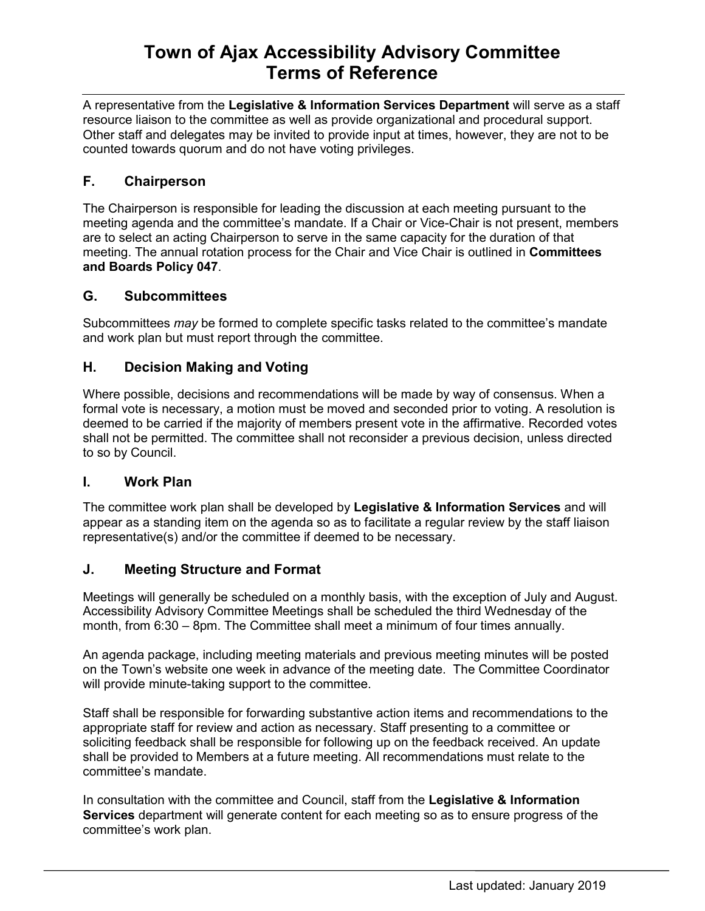# **Town of Ajax Accessibility Advisory Committee Terms of Reference**

A representative from the **Legislative & Information Services Department** will serve as a staff resource liaison to the committee as well as provide organizational and procedural support. Other staff and delegates may be invited to provide input at times, however, they are not to be counted towards quorum and do not have voting privileges.

# **F. Chairperson**

The Chairperson is responsible for leading the discussion at each meeting pursuant to the meeting agenda and the committee's mandate. If a Chair or Vice-Chair is not present, members are to select an acting Chairperson to serve in the same capacity for the duration of that meeting. The annual rotation process for the Chair and Vice Chair is outlined in **Committees and Boards Policy 047**.

## **G. Subcommittees**

Subcommittees *may* be formed to complete specific tasks related to the committee's mandate and work plan but must report through the committee.

## **H. Decision Making and Voting**

Where possible, decisions and recommendations will be made by way of consensus. When a formal vote is necessary, a motion must be moved and seconded prior to voting. A resolution is deemed to be carried if the majority of members present vote in the affirmative. Recorded votes shall not be permitted. The committee shall not reconsider a previous decision, unless directed to so by Council.

## **I. Work Plan**

The committee work plan shall be developed by **Legislative & Information Services** and will appear as a standing item on the agenda so as to facilitate a regular review by the staff liaison representative(s) and/or the committee if deemed to be necessary.

# **J. Meeting Structure and Format**

Meetings will generally be scheduled on a monthly basis, with the exception of July and August. Accessibility Advisory Committee Meetings shall be scheduled the third Wednesday of the month, from 6:30 – 8pm. The Committee shall meet a minimum of four times annually.

An agenda package, including meeting materials and previous meeting minutes will be posted on the Town's website one week in advance of the meeting date. The Committee Coordinator will provide minute-taking support to the committee.

Staff shall be responsible for forwarding substantive action items and recommendations to the appropriate staff for review and action as necessary. Staff presenting to a committee or soliciting feedback shall be responsible for following up on the feedback received. An update shall be provided to Members at a future meeting. All recommendations must relate to the committee's mandate.

In consultation with the committee and Council, staff from the **Legislative & Information Services** department will generate content for each meeting so as to ensure progress of the committee's work plan.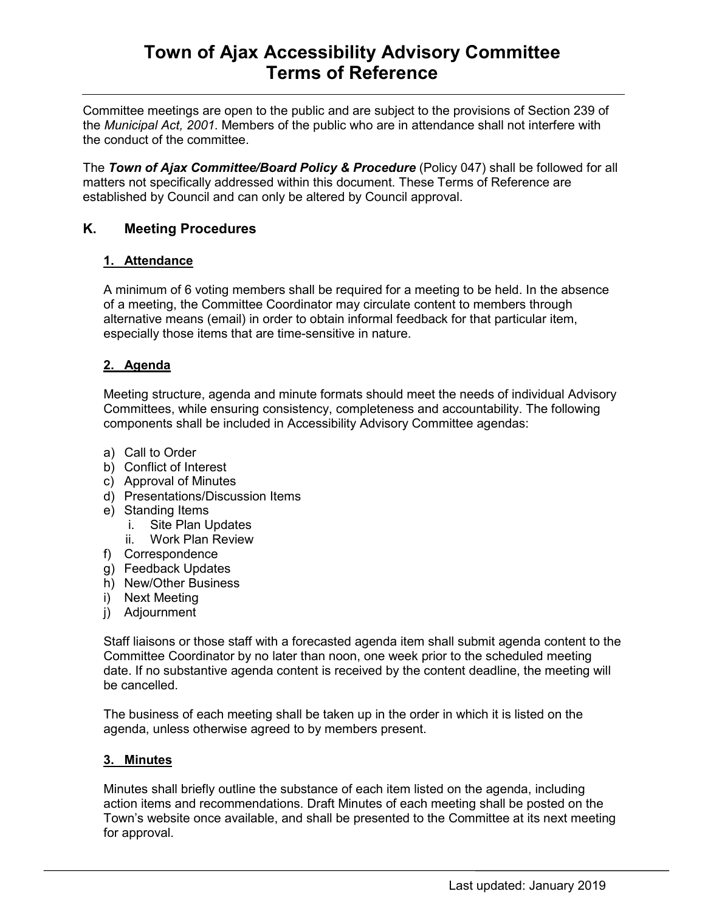# **Town of Ajax Accessibility Advisory Committee Terms of Reference**

Committee meetings are open to the public and are subject to the provisions of Section 239 of the *Municipal Act, 2001*. Members of the public who are in attendance shall not interfere with the conduct of the committee.

The *Town of Ajax Committee/Board Policy & Procedure* (Policy 047) shall be followed for all matters not specifically addressed within this document. These Terms of Reference are established by Council and can only be altered by Council approval.

## **K. Meeting Procedures**

### **1. Attendance**

A minimum of 6 voting members shall be required for a meeting to be held. In the absence of a meeting, the Committee Coordinator may circulate content to members through alternative means (email) in order to obtain informal feedback for that particular item, especially those items that are time-sensitive in nature.

## **2. Agenda**

Meeting structure, agenda and minute formats should meet the needs of individual Advisory Committees, while ensuring consistency, completeness and accountability. The following components shall be included in Accessibility Advisory Committee agendas:

- a) Call to Order
- b) Conflict of Interest
- c) Approval of Minutes
- d) Presentations/Discussion Items
- e) Standing Items
	- i. Site Plan Updates
	- ii. Work Plan Review
- f) Correspondence
- g) Feedback Updates
- h) New/Other Business
- i) Next Meeting
- j) Adjournment

Staff liaisons or those staff with a forecasted agenda item shall submit agenda content to the Committee Coordinator by no later than noon, one week prior to the scheduled meeting date. If no substantive agenda content is received by the content deadline, the meeting will be cancelled.

The business of each meeting shall be taken up in the order in which it is listed on the agenda, unless otherwise agreed to by members present.

### **3. Minutes**

Minutes shall briefly outline the substance of each item listed on the agenda, including action items and recommendations. Draft Minutes of each meeting shall be posted on the Town's website once available, and shall be presented to the Committee at its next meeting for approval.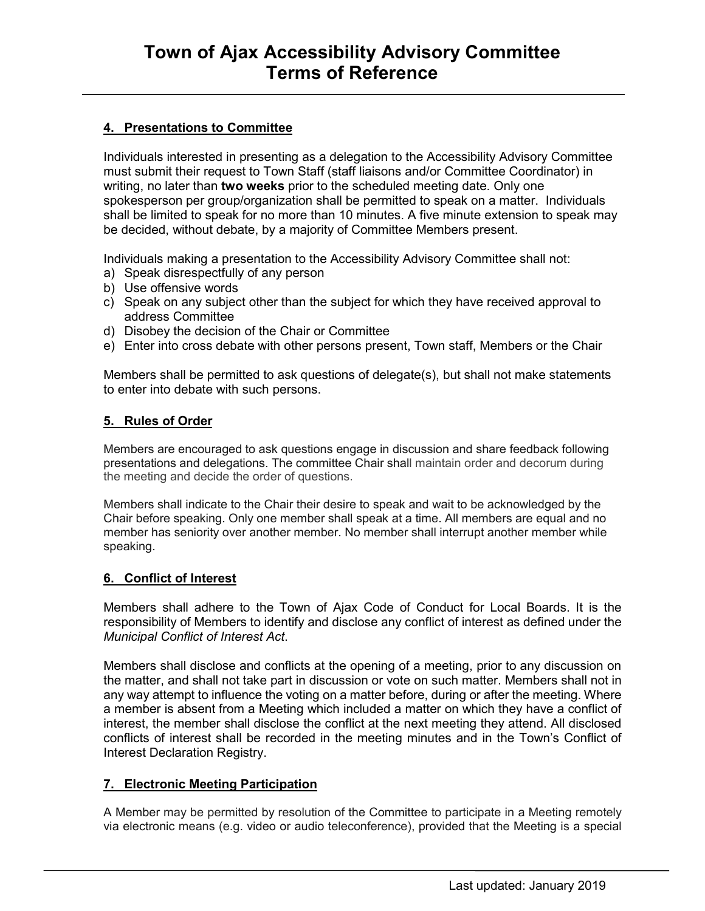### **4. Presentations to Committee**

Individuals interested in presenting as a delegation to the Accessibility Advisory Committee must submit their request to Town Staff (staff liaisons and/or Committee Coordinator) in writing, no later than **two weeks** prior to the scheduled meeting date. Only one spokesperson per group/organization shall be permitted to speak on a matter. Individuals shall be limited to speak for no more than 10 minutes. A five minute extension to speak may be decided, without debate, by a majority of Committee Members present.

Individuals making a presentation to the Accessibility Advisory Committee shall not:

- a) Speak disrespectfully of any person
- b) Use offensive words
- c) Speak on any subject other than the subject for which they have received approval to address Committee
- d) Disobey the decision of the Chair or Committee
- e) Enter into cross debate with other persons present, Town staff, Members or the Chair

Members shall be permitted to ask questions of delegate(s), but shall not make statements to enter into debate with such persons.

#### **5. Rules of Order**

Members are encouraged to ask questions engage in discussion and share feedback following presentations and delegations. The committee Chair shall maintain order and decorum during the meeting and decide the order of questions.

Members shall indicate to the Chair their desire to speak and wait to be acknowledged by the Chair before speaking. Only one member shall speak at a time. All members are equal and no member has seniority over another member. No member shall interrupt another member while speaking.

### **6. Conflict of Interest**

Members shall adhere to the Town of Ajax Code of Conduct for Local Boards. It is the responsibility of Members to identify and disclose any conflict of interest as defined under the *Municipal Conflict of Interest Act*.

Members shall disclose and conflicts at the opening of a meeting, prior to any discussion on the matter, and shall not take part in discussion or vote on such matter. Members shall not in any way attempt to influence the voting on a matter before, during or after the meeting. Where a member is absent from a Meeting which included a matter on which they have a conflict of interest, the member shall disclose the conflict at the next meeting they attend. All disclosed conflicts of interest shall be recorded in the meeting minutes and in the Town's Conflict of Interest Declaration Registry.

### **7. Electronic Meeting Participation**

A Member may be permitted by resolution of the Committee to participate in a Meeting remotely via electronic means (e.g. video or audio teleconference), provided that the Meeting is a special